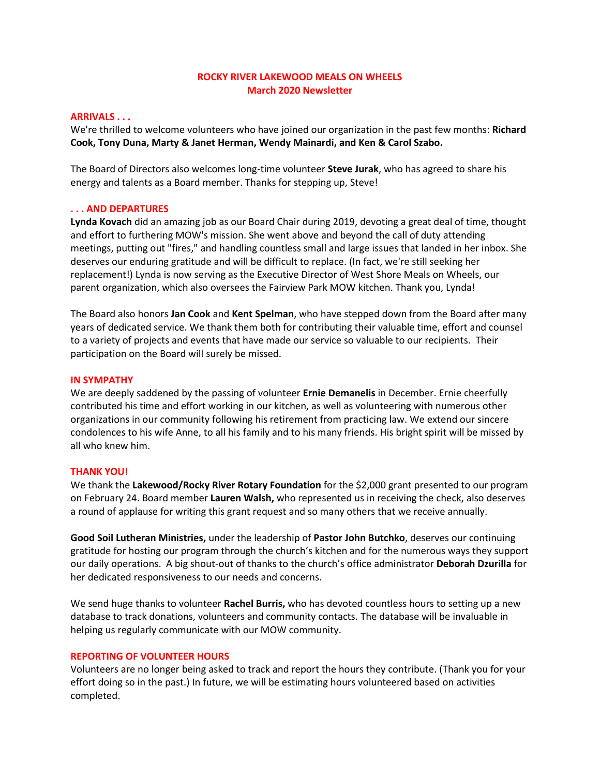# **ROCKY RIVER LAKEWOOD MEALS ON WHEELS March 2020 Newsletter**

### **ARRIVALS . . .**

We're thrilled to welcome volunteers who have joined our organization in the past few months: **Richard Cook, Tony Duna, Marty & Janet Herman, Wendy Mainardi, and Ken & Carol Szabo.**

The Board of Directors also welcomes long-time volunteer **Steve Jurak**, who has agreed to share his energy and talents as a Board member. Thanks for stepping up, Steve!

### **. . . AND DEPARTURES**

**Lynda Kovach** did an amazing job as our Board Chair during 2019, devoting a great deal of time, thought and effort to furthering MOW's mission. She went above and beyond the call of duty attending meetings, putting out "fires," and handling countless small and large issues that landed in her inbox. She deserves our enduring gratitude and will be difficult to replace. (In fact, we're still seeking her replacement!) Lynda is now serving as the Executive Director of West Shore Meals on Wheels, our parent organization, which also oversees the Fairview Park MOW kitchen. Thank you, Lynda!

The Board also honors **Jan Cook** and **Kent Spelman**, who have stepped down from the Board after many years of dedicated service. We thank them both for contributing their valuable time, effort and counsel to a variety of projects and events that have made our service so valuable to our recipients. Their participation on the Board will surely be missed.

### **IN SYMPATHY**

We are deeply saddened by the passing of volunteer **Ernie Demanelis** in December. Ernie cheerfully contributed his time and effort working in our kitchen, as well as volunteering with numerous other organizations in our community following his retirement from practicing law. We extend our sincere condolences to his wife Anne, to all his family and to his many friends. His bright spirit will be missed by all who knew him.

## **THANK YOU!**

We thank the **Lakewood/Rocky River Rotary Foundation** for the \$2,000 grant presented to our program on February 24. Board member **Lauren Walsh,** who represented us in receiving the check, also deserves a round of applause for writing this grant request and so many others that we receive annually.

**Good Soil Lutheran Ministries,** under the leadership of **Pastor John Butchko**, deserves our continuing gratitude for hosting our program through the church's kitchen and for the numerous ways they support our daily operations. A big shout-out of thanks to the church's office administrator **Deborah Dzurilla** for her dedicated responsiveness to our needs and concerns.

We send huge thanks to volunteer **Rachel Burris,** who has devoted countless hours to setting up a new database to track donations, volunteers and community contacts. The database will be invaluable in helping us regularly communicate with our MOW community.

#### **REPORTING OF VOLUNTEER HOURS**

Volunteers are no longer being asked to track and report the hours they contribute. (Thank you for your effort doing so in the past.) In future, we will be estimating hours volunteered based on activities completed.